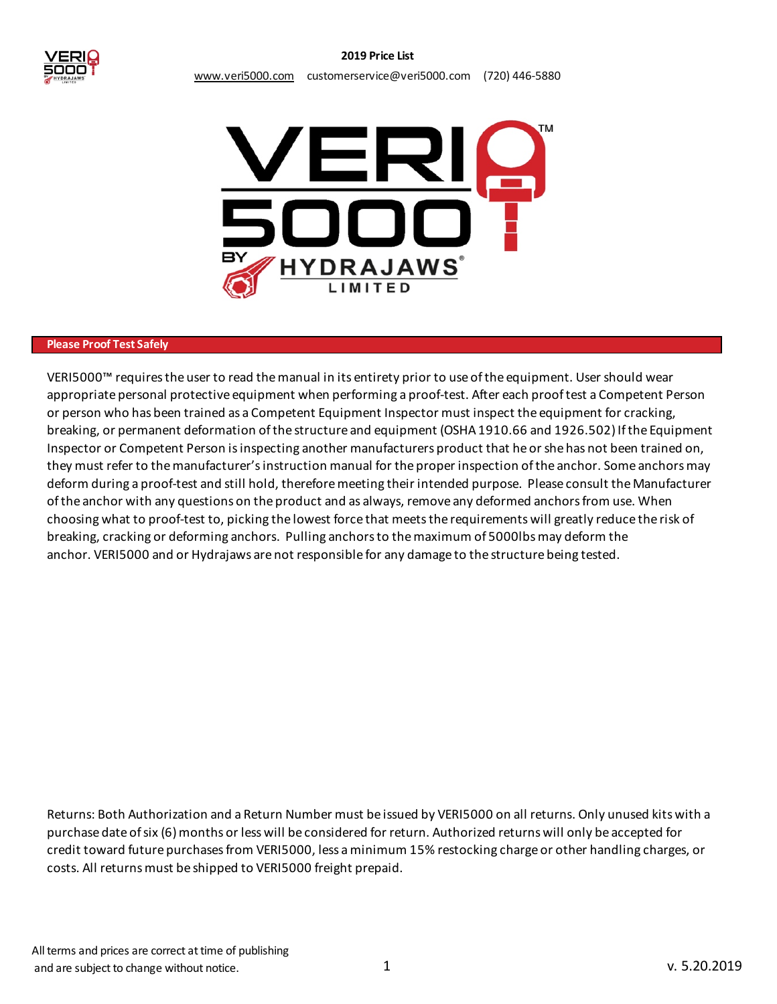



### **Please Proof Test Safely**

VERI5000™ requires the user to read the manual in its entirety prior to use of the equipment. User should wear appropriate personal protective equipment when performing a proof-test. After each proof test a Competent Person or person who has been trained as a Competent Equipment Inspector must inspect the equipment for cracking, breaking, or permanent deformation of the structure and equipment (OSHA 1910.66 and 1926.502) If the Equipment Inspector or Competent Person is inspecting another manufacturers product that he or she has not been trained on, they must refer to the manufacturer's instruction manual for the proper inspection of the anchor. Some anchors may deform during a proof-test and still hold, therefore meeting their intended purpose. Please consult the Manufacturer of the anchor with any questions on the product and as always, remove any deformed anchors from use. When choosing what to proof-test to, picking the lowest force that meets the requirements will greatly reduce the risk of breaking, cracking or deforming anchors. Pulling anchors to the maximum of 5000lbs may deform the anchor. VERI5000 and or Hydrajaws are not responsible for any damage to the structure being tested.

Returns: Both Authorization and a Return Number must be issued by VERI5000 on all returns. Only unused kits with a purchase date of six (6) months or less will be considered for return. Authorized returns will only be accepted for credit toward future purchases from VERI5000, less a minimum 15% restocking charge or other handling charges, or costs. All returns must be shipped to VERI5000 freight prepaid.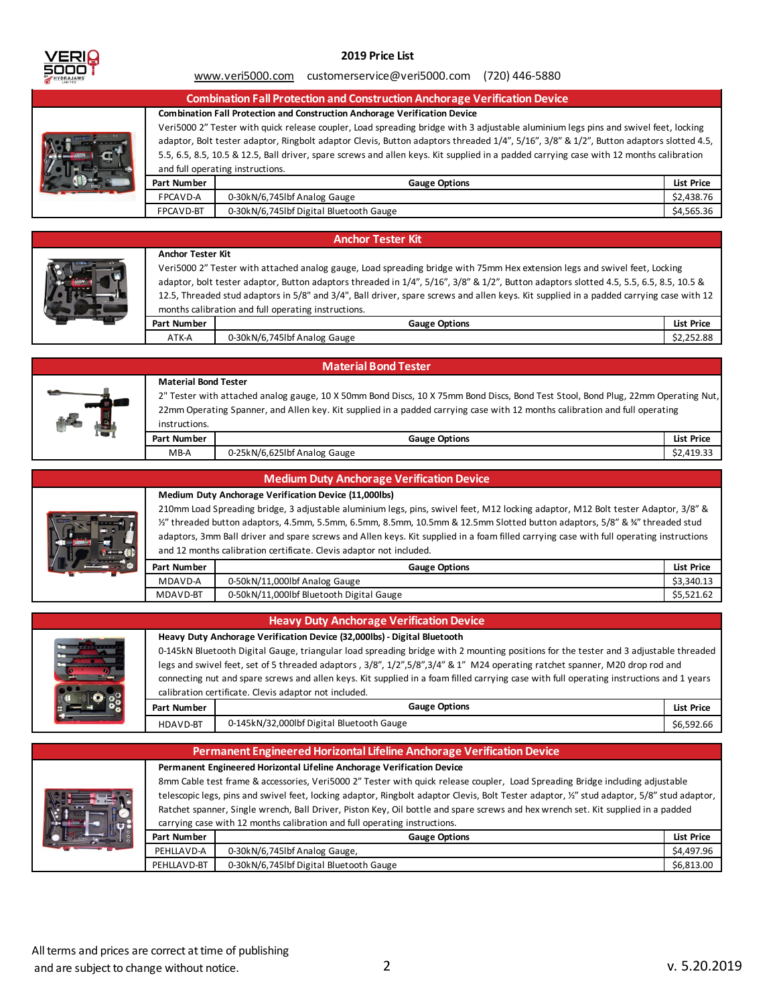

### **2019 Price List**

#### www.veri5000.com customerservice@veri5000.com (720) 446-5880

|  |             | <b>Combination Fall Protection and Construction Anchorage Verification Device</b>                                                       |            |  |  |
|--|-------------|-----------------------------------------------------------------------------------------------------------------------------------------|------------|--|--|
|  |             | <b>Combination Fall Protection and Construction Anchorage Verification Device</b>                                                       |            |  |  |
|  |             | Veri5000 2" Tester with quick release coupler, Load spreading bridge with 3 adjustable aluminium legs pins and swivel feet, locking     |            |  |  |
|  |             | adaptor, Bolt tester adaptor, Ringbolt adaptor Clevis, Button adaptors threaded 1/4", 5/16", 3/8" & 1/2", Button adaptors slotted 4.5,  |            |  |  |
|  |             | 5.5, 6.5, 8.5, 10.5 & 12.5, Ball driver, spare screws and allen keys. Kit supplied in a padded carrying case with 12 months calibration |            |  |  |
|  |             | and full operating instructions.                                                                                                        |            |  |  |
|  | Part Number | <b>Gauge Options</b>                                                                                                                    | List Price |  |  |
|  | FPCAVD-A    | 0-30kN/6,745lbf Analog Gauge                                                                                                            | \$2,438.76 |  |  |
|  | FPCAVD-BT   | 0-30kN/6,745lbf Digital Bluetooth Gauge                                                                                                 | \$4.565.36 |  |  |

#### **Anchor Tester Kit**



#### **Part Number List Price Gauge Options Anchor Tester Kit** Veri5000 2" Tester with attached analog gauge, Load spreading bridge with 75mm Hex extension legs and swivel feet, Locking adaptor, bolt tester adaptor, Button adaptors threaded in 1/4", 5/16", 3/8" & 1/2", Button adaptors slotted 4.5, 5.5, 6.5, 8.5, 10.5 & 12.5, Threaded stud adaptors in 5/8" and 3/4", Ball driver, spare screws and allen keys. Kit supplied in a padded carrying case with 12 months calibration and full operating instructions.

# ATK-A \$2,252.88 0-30kN/6,745lbf Analog Gauge



# **Material Bond Tester**

**Material Bond Tester**

2" Tester with attached analog gauge, 10 X 50mm Bond Discs, 10 X 75mm Bond Discs, Bond Test Stool, Bond Plug, 22mm Operating Nut, 22mm Operating Spanner, and Allen key. Kit supplied in a padded carrying case with 12 months calibration and full operating instructions.

| Part<br>: Number | : Options<br>Gauge           | <b>List Price</b> |
|------------------|------------------------------|-------------------|
| MB-A             | 0-25kN/6,625lbf Analog Gauge | ^^<br>52.419.33   |

#### **Medium Duty Anchorage Verification Device**

|            |             | <b>INCOMMIT DULY ANDRESS VOLUMENTS DUVICE</b>                                                                                           |                   |
|------------|-------------|-----------------------------------------------------------------------------------------------------------------------------------------|-------------------|
|            |             | Medium Duty Anchorage Verification Device (11,000lbs)                                                                                   |                   |
|            |             | 210mm Load Spreading bridge, 3 adjustable aluminium legs, pins, swivel feet, M12 locking adaptor, M12 Bolt tester Adaptor, 3/8" &       |                   |
|            |             | 12" threaded button adaptors, 4.5mm, 5.5mm, 6.5mm, 8.5mm, 10.5mm & 12.5mm Slotted button adaptors, 5/8" & 34" threaded stud             |                   |
| stan in di |             | adaptors, 3mm Ball driver and spare screws and Allen keys. Kit supplied in a foam filled carrying case with full operating instructions |                   |
|            |             | and 12 months calibration certificate. Clevis adaptor not included.                                                                     |                   |
|            | Part Number | <b>Gauge Options</b>                                                                                                                    | <b>List Price</b> |
|            | MDAVD-A     | 0-50kN/11,000lbf Analog Gauge                                                                                                           | \$3,340.13        |
|            | MDAVD-BT    | 0-50kN/11,000lbf Bluetooth Digital Gauge                                                                                                | \$5,521.62        |

### **Heavy Duty Anchorage Verification Device**

|  |             |                                                                                                                                      | Heavy Duty Anchorage Verification Device (32,000lbs) - Digital Bluetooth                                                                 |  |  |  |
|--|-------------|--------------------------------------------------------------------------------------------------------------------------------------|------------------------------------------------------------------------------------------------------------------------------------------|--|--|--|
|  |             | 0-145kN Bluetooth Digital Gauge, triangular load spreading bridge with 2 mounting positions for the tester and 3 adjustable threaded |                                                                                                                                          |  |  |  |
|  |             | legs and swivel feet, set of 5 threaded adaptors , 3/8", 1/2",5/8",3/4" & 1" M24 operating ratchet spanner, M20 drop rod and         |                                                                                                                                          |  |  |  |
|  |             |                                                                                                                                      | connecting nut and spare screws and allen keys. Kit supplied in a foam filled carrying case with full operating instructions and 1 years |  |  |  |
|  |             |                                                                                                                                      | calibration certificate. Clevis adaptor not included.                                                                                    |  |  |  |
|  | Part Number | <b>Gauge Options</b>                                                                                                                 | List Price                                                                                                                               |  |  |  |
|  | HDAVD-BT    | 0-145kN/32,000lbf Digital Bluetooth Gauge                                                                                            | \$6,592.66                                                                                                                               |  |  |  |
|  |             |                                                                                                                                      |                                                                                                                                          |  |  |  |

|  |             | Permanent Engineered Horizontal Lifeline Anchorage Verification Device                                                                      |            |  |  |
|--|-------------|---------------------------------------------------------------------------------------------------------------------------------------------|------------|--|--|
|  |             | Permanent Engineered Horizontal Lifeline Anchorage Verification Device                                                                      |            |  |  |
|  |             | 8mm Cable test frame & accessories, Veri5000 2" Tester with quick release coupler, Load Spreading Bridge including adjustable               |            |  |  |
|  |             | telescopic legs, pins and swivel feet, locking adaptor, Ringbolt adaptor Clevis, Bolt Tester adaptor, 1/2" stud adaptor, 5/8" stud adaptor, |            |  |  |
|  |             | Ratchet spanner, Single wrench, Ball Driver, Piston Key, Oil bottle and spare screws and hex wrench set. Kit supplied in a padded           |            |  |  |
|  |             | carrying case with 12 months calibration and full operating instructions.                                                                   |            |  |  |
|  | Part Number | <b>Gauge Options</b>                                                                                                                        | List Price |  |  |
|  | PEHLLAVD-A  | 0-30kN/6,745lbf Analog Gauge,                                                                                                               | \$4,497.96 |  |  |
|  | PEHLLAVD-BT | 0-30kN/6,745lbf Digital Bluetooth Gauge                                                                                                     | \$6.813.00 |  |  |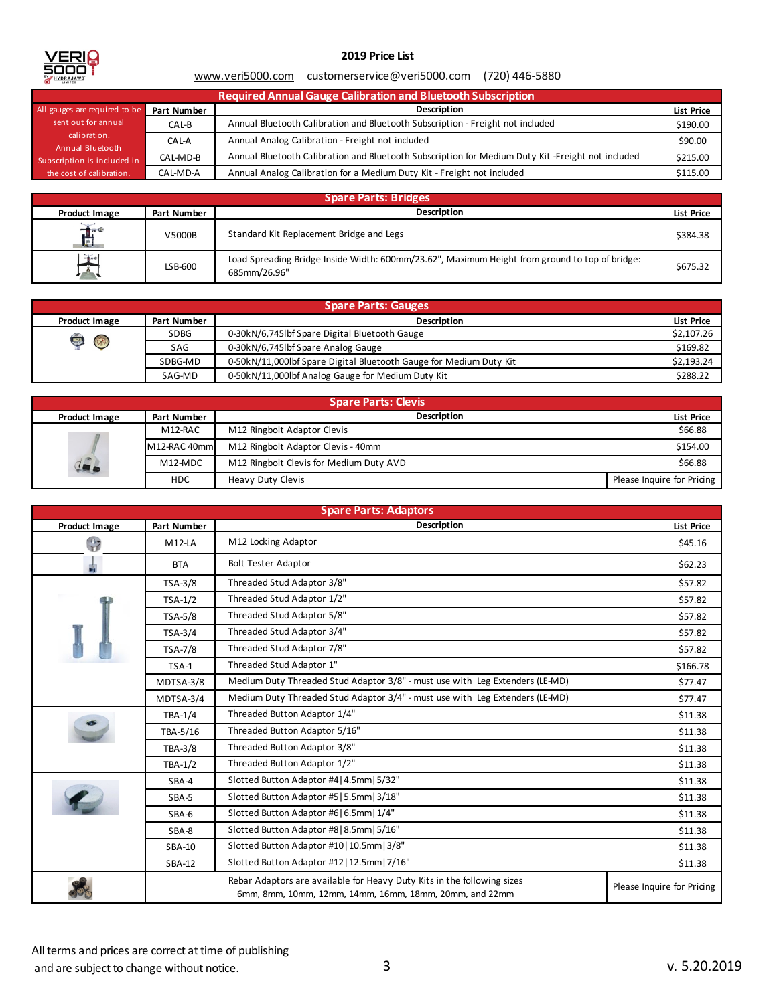

# **2019 Price List**

### www.veri5000.com customerservice@veri5000.com (720) 446-5880

| Required Annual Gauge Calibration and Bluetooth Subscription |             |                                                                                                  |                   |  |
|--------------------------------------------------------------|-------------|--------------------------------------------------------------------------------------------------|-------------------|--|
| All gauges are required to be                                | Part Number | <b>Description</b>                                                                               | <b>List Price</b> |  |
| sent out for annual                                          | CAL-B       | Annual Bluetooth Calibration and Bluetooth Subscription - Freight not included                   | \$190.00          |  |
| calibration.<br>Annual Bluetooth                             | CAL-A       | Annual Analog Calibration - Freight not included                                                 | \$90.00           |  |
| Subscription is included in                                  | CAL-MD-B    | Annual Bluetooth Calibration and Bluetooth Subscription for Medium Duty Kit-Freight not included | \$215.00          |  |
| the cost of calibration.                                     | CAL-MD-A    | Annual Analog Calibration for a Medium Duty Kit - Freight not included                           | \$115.00          |  |

| <b>Spare Parts: Bridges</b> |             |                                                                                                                |                   |  |
|-----------------------------|-------------|----------------------------------------------------------------------------------------------------------------|-------------------|--|
| Product Image               | Part Number | <b>Description</b>                                                                                             | <b>List Price</b> |  |
| $\frac{1}{2}$<br>廿          | V5000B      | Standard Kit Replacement Bridge and Legs                                                                       | \$384.38          |  |
| $\mathbf{F}^{\bullet}$      | LSB-600     | Load Spreading Bridge Inside Width: 600mm/23.62", Maximum Height from ground to top of bridge:<br>685mm/26.96" | \$675.32          |  |

| <b>Spare Parts: Gauges</b> |             |                                                                    |                   |  |
|----------------------------|-------------|--------------------------------------------------------------------|-------------------|--|
| Product Image              | Part Number | <b>Description</b>                                                 | <b>List Price</b> |  |
| $\frac{4}{\sqrt{10}}$      | <b>SDBG</b> | 0-30kN/6,745lbf Spare Digital Bluetooth Gauge                      | \$2,107.26        |  |
|                            | SAG         | 0-30kN/6,745lbf Spare Analog Gauge                                 | \$169.82          |  |
|                            | SDBG-MD     | 0-50kN/11,000lbf Spare Digital Bluetooth Gauge for Medium Duty Kit | \$2.193.24        |  |
|                            | SAG-MD      | 0-50kN/11,000lbf Analog Gauge for Medium Duty Kit                  | \$288.22          |  |

| <b>Spare Parts: Clevis</b> |              |                                         |  |                            |  |
|----------------------------|--------------|-----------------------------------------|--|----------------------------|--|
| Product Image              | Part Number  | <b>Description</b>                      |  | <b>List Price</b>          |  |
|                            | M12-RAC      | M12 Ringbolt Adaptor Clevis             |  | \$66.88                    |  |
|                            | M12-RAC 40mm | M12 Ringbolt Adaptor Clevis - 40mm      |  | \$154.00                   |  |
| 42                         | M12-MDC      | M12 Ringbolt Clevis for Medium Duty AVD |  | \$66.88                    |  |
|                            | <b>HDC</b>   | Heavy Duty Clevis                       |  | Please Inquire for Pricing |  |

| <b>Spare Parts: Adaptors</b> |                |                                                                                                                                   |  |                            |
|------------------------------|----------------|-----------------------------------------------------------------------------------------------------------------------------------|--|----------------------------|
| Product Image                | Part Number    | <b>Description</b>                                                                                                                |  | <b>List Price</b>          |
| $\frac{1}{2}$                | $M12-LA$       | M12 Locking Adaptor                                                                                                               |  | \$45.16                    |
| 冑                            | <b>BTA</b>     | <b>Bolt Tester Adaptor</b>                                                                                                        |  | \$62.23                    |
|                              | <b>TSA-3/8</b> | Threaded Stud Adaptor 3/8"                                                                                                        |  | \$57.82                    |
|                              | $TSA-1/2$      | Threaded Stud Adaptor 1/2"                                                                                                        |  | \$57.82                    |
|                              | <b>TSA-5/8</b> | Threaded Stud Adaptor 5/8"                                                                                                        |  | \$57.82                    |
|                              | $TSA-3/4$      | Threaded Stud Adaptor 3/4"                                                                                                        |  | \$57.82                    |
|                              | <b>TSA-7/8</b> | Threaded Stud Adaptor 7/8"                                                                                                        |  | \$57.82                    |
|                              | TSA-1          | Threaded Stud Adaptor 1"                                                                                                          |  | \$166.78                   |
|                              | MDTSA-3/8      | Medium Duty Threaded Stud Adaptor 3/8" - must use with Leg Extenders (LE-MD)                                                      |  | \$77.47                    |
|                              | MDTSA-3/4      | Medium Duty Threaded Stud Adaptor 3/4" - must use with Leg Extenders (LE-MD)                                                      |  | \$77.47                    |
|                              | TBA-1/4        | Threaded Button Adaptor 1/4"                                                                                                      |  | \$11.38                    |
|                              | TBA-5/16       | Threaded Button Adaptor 5/16"                                                                                                     |  | \$11.38                    |
|                              | <b>TBA-3/8</b> | Threaded Button Adaptor 3/8"                                                                                                      |  | \$11.38                    |
|                              | $TBA-1/2$      | Threaded Button Adaptor 1/2"                                                                                                      |  | \$11.38                    |
|                              | SBA-4          | Slotted Button Adaptor #4   4.5mm   5/32"                                                                                         |  | \$11.38                    |
|                              | SBA-5          | Slotted Button Adaptor #5   5.5mm   3/18"                                                                                         |  | \$11.38                    |
|                              | SBA-6          | Slotted Button Adaptor #6   6.5mm   1/4"                                                                                          |  | \$11.38                    |
|                              | SBA-8          | Slotted Button Adaptor #8 8.5mm   5/16"                                                                                           |  | \$11.38                    |
|                              | SBA-10         | Slotted Button Adaptor #10   10.5mm   3/8"                                                                                        |  | \$11.38                    |
|                              | SBA-12         | Slotted Button Adaptor #12   12.5mm   7/16"                                                                                       |  | \$11.38                    |
|                              |                | Rebar Adaptors are available for Heavy Duty Kits in the following sizes<br>6mm, 8mm, 10mm, 12mm, 14mm, 16mm, 18mm, 20mm, and 22mm |  | Please Inquire for Pricing |